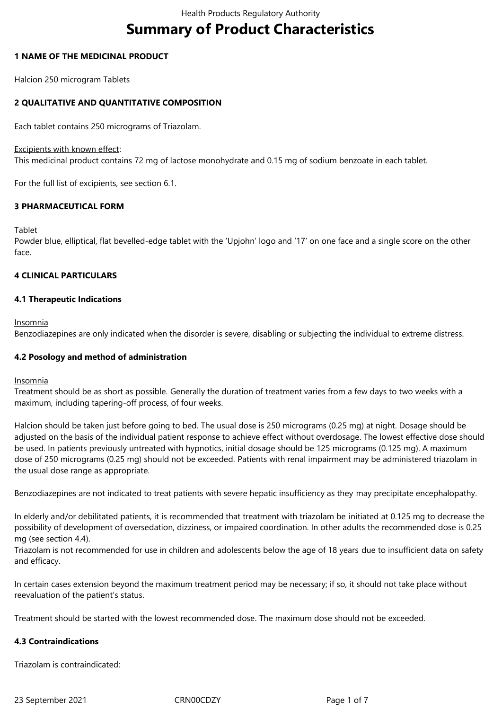# **Summary of Product Characteristics**

## **1 NAME OF THE MEDICINAL PRODUCT**

Halcion 250 microgram Tablets

# **2 QUALITATIVE AND QUANTITATIVE COMPOSITION**

Each tablet contains 250 micrograms of Triazolam.

### Excipients with known effect:

This medicinal product contains 72 mg of lactose monohydrate and 0.15 mg of sodium benzoate in each tablet.

For the full list of excipients, see section 6.1.

## **3 PHARMACEUTICAL FORM**

Tablet

Powder blue, elliptical, flat bevelled-edge tablet with the 'Upjohn' logo and '17' on one face and a single score on the other face.

# **4 CLINICAL PARTICULARS**

## **4.1 Therapeutic Indications**

Insomnia

Benzodiazepines are only indicated when the disorder is severe, disabling or subjecting the individual to extreme distress.

# **4.2 Posology and method of administration**

Insomnia

Treatment should be as short as possible. Generally the duration of treatment varies from a few days to two weeks with a maximum, including tapering-off process, of four weeks.

Halcion should be taken just before going to bed. The usual dose is 250 micrograms (0.25 mg) at night. Dosage should be adjusted on the basis of the individual patient response to achieve effect without overdosage. The lowest effective dose should be used. In patients previously untreated with hypnotics, initial dosage should be 125 micrograms (0.125 mg). A maximum dose of 250 micrograms (0.25 mg) should not be exceeded. Patients with renal impairment may be administered triazolam in the usual dose range as appropriate.

Benzodiazepines are not indicated to treat patients with severe hepatic insufficiency as they may precipitate encephalopathy.

In elderly and/or debilitated patients, it is recommended that treatment with triazolam be initiated at 0.125 mg to decrease the possibility of development of oversedation, dizziness, or impaired coordination. In other adults the recommended dose is 0.25 mg (see section 4.4).

Triazolam is not recommended for use in children and adolescents below the age of 18 years due to insufficient data on safety and efficacy.

In certain cases extension beyond the maximum treatment period may be necessary; if so, it should not take place without reevaluation of the patient's status.

Treatment should be started with the lowest recommended dose. The maximum dose should not be exceeded.

### **4.3 Contraindications**

Triazolam is contraindicated:

23 September 2021 CRN00CDZY Page 1 of 7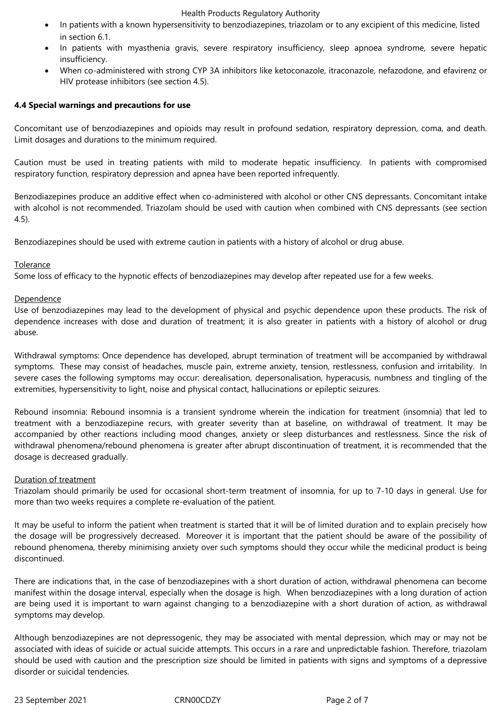#### Health Products Regulatory Authority

- In patients with a known hypersensitivity to benzodiazepines, triazolam or to any excipient of this medicine, listed in section 6.1.
- In patients with myasthenia gravis, severe respiratory insufficiency, sleep apnoea syndrome, severe hepatic insufficiency.
- When co-administered with strong CYP 3A inhibitors like ketoconazole, itraconazole, nefazodone, and efavirenz or HIV protease inhibitors (see section 4.5).

## **4.4 Special warnings and precautions for use**

Concomitant use of benzodiazepines and opioids may result in profound sedation, respiratory depression, coma, and death. Limit dosages and durations to the minimum required.

Caution must be used in treating patients with mild to moderate hepatic insufficiency. In patients with compromised respiratory function, respiratory depression and apnea have been reported infrequently.

Benzodiazepines produce an additive effect when co-administered with alcohol or other CNS depressants. Concomitant intake with alcohol is not recommended. Triazolam should be used with caution when combined with CNS depressants (see section 4.5).

Benzodiazepines should be used with extreme caution in patients with a history of alcohol or drug abuse.

### Tolerance

Some loss of efficacy to the hypnotic effects of benzodiazepines may develop after repeated use for a few weeks.

### Dependence

Use of benzodiazepines may lead to the development of physical and psychic dependence upon these products. The risk of dependence increases with dose and duration of treatment; it is also greater in patients with a history of alcohol or drug abuse.

Withdrawal symptoms: Once dependence has developed, abrupt termination of treatment will be accompanied by withdrawal symptoms. These may consist of headaches, muscle pain, extreme anxiety, tension, restlessness, confusion and irritability. In severe cases the following symptoms may occur: derealisation, depersonalisation, hyperacusis, numbness and tingling of the extremities, hypersensitivity to light, noise and physical contact, hallucinations or epileptic seizures.

Rebound insomnia: Rebound insomnia is a transient syndrome wherein the indication for treatment (insomnia) that led to treatment with a benzodiazepine recurs, with greater severity than at baseline, on withdrawal of treatment. It may be accompanied by other reactions including mood changes, anxiety or sleep disturbances and restlessness. Since the risk of withdrawal phenomena/rebound phenomena is greater after abrupt discontinuation of treatment, it is recommended that the dosage is decreased gradually.

### Duration of treatment

Triazolam should primarily be used for occasional short-term treatment of insomnia, for up to 7-10 days in general. Use for more than two weeks requires a complete re-evaluation of the patient.

It may be useful to inform the patient when treatment is started that it will be of limited duration and to explain precisely how the dosage will be progressively decreased. Moreover it is important that the patient should be aware of the possibility of rebound phenomena, thereby minimising anxiety over such symptoms should they occur while the medicinal product is being discontinued.

There are indications that, in the case of benzodiazepines with a short duration of action, withdrawal phenomena can become manifest within the dosage interval, especially when the dosage is high. When benzodiazepines with a long duration of action are being used it is important to warn against changing to a benzodiazepine with a short duration of action, as withdrawal symptoms may develop.

Although benzodiazepines are not depressogenic, they may be associated with mental depression, which may or may not be associated with ideas of suicide or actual suicide attempts. This occurs in a rare and unpredictable fashion. Therefore, triazolam should be used with caution and the prescription size should be limited in patients with signs and symptoms of a depressive disorder or suicidal tendencies.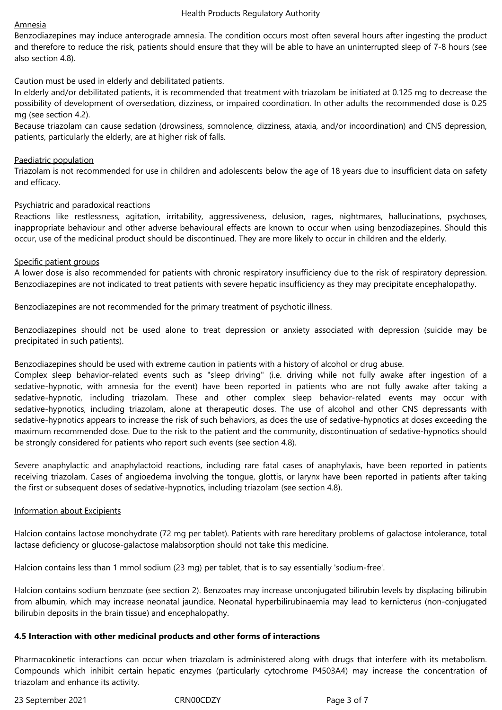#### Amnesia

Benzodiazepines may induce anterograde amnesia. The condition occurs most often several hours after ingesting the product and therefore to reduce the risk, patients should ensure that they will be able to have an uninterrupted sleep of 7-8 hours (see also section 4.8).

Caution must be used in elderly and debilitated patients.

In elderly and/or debilitated patients, it is recommended that treatment with triazolam be initiated at 0.125 mg to decrease the possibility of development of oversedation, dizziness, or impaired coordination. In other adults the recommended dose is 0.25 mg (see section 4.2).

Because triazolam can cause sedation (drowsiness, somnolence, dizziness, ataxia, and/or incoordination) and CNS depression, patients, particularly the elderly, are at higher risk of falls*.* 

### Paediatric population

Triazolam is not recommended for use in children and adolescents below the age of 18 years due to insufficient data on safety and efficacy.

### Psychiatric and paradoxical reactions

Reactions like restlessness, agitation, irritability, aggressiveness, delusion, rages, nightmares, hallucinations, psychoses, inappropriate behaviour and other adverse behavioural effects are known to occur when using benzodiazepines. Should this occur, use of the medicinal product should be discontinued. They are more likely to occur in children and the elderly.

### Specific patient groups

A lower dose is also recommended for patients with chronic respiratory insufficiency due to the risk of respiratory depression. Benzodiazepines are not indicated to treat patients with severe hepatic insufficiency as they may precipitate encephalopathy.

Benzodiazepines are not recommended for the primary treatment of psychotic illness.

Benzodiazepines should not be used alone to treat depression or anxiety associated with depression (suicide may be precipitated in such patients).

Benzodiazepines should be used with extreme caution in patients with a history of alcohol or drug abuse.

Complex sleep behavior-related events such as "sleep driving" (i.e. driving while not fully awake after ingestion of a sedative-hypnotic, with amnesia for the event) have been reported in patients who are not fully awake after taking a sedative-hypnotic, including triazolam. These and other complex sleep behavior-related events may occur with sedative-hypnotics, including triazolam, alone at therapeutic doses. The use of alcohol and other CNS depressants with sedative-hypnotics appears to increase the risk of such behaviors, as does the use of sedative-hypnotics at doses exceeding the maximum recommended dose. Due to the risk to the patient and the community, discontinuation of sedative-hypnotics should be strongly considered for patients who report such events (see section 4.8).

Severe anaphylactic and anaphylactoid reactions, including rare fatal cases of anaphylaxis, have been reported in patients receiving triazolam. Cases of angioedema involving the tongue, glottis, or larynx have been reported in patients after taking the first or subsequent doses of sedative-hypnotics, including triazolam (see section 4.8).

### Information about Excipients

Halcion contains lactose monohydrate (72 mg per tablet). Patients with rare hereditary problems of galactose intolerance, total lactase deficiency or glucose-galactose malabsorption should not take this medicine.

Halcion contains less than 1 mmol sodium (23 mg) per tablet, that is to say essentially 'sodium-free'.

Halcion contains sodium benzoate (see section 2). Benzoates may increase unconjugated bilirubin levels by displacing bilirubin from albumin, which may increase neonatal jaundice. Neonatal hyperbilirubinaemia may lead to kernicterus (non-conjugated bilirubin deposits in the brain tissue) and encephalopathy.

### **4.5 Interaction with other medicinal products and other forms of interactions**

Pharmacokinetic interactions can occur when triazolam is administered along with drugs that interfere with its metabolism. Compounds which inhibit certain hepatic enzymes (particularly cytochrome P4503A4) may increase the concentration of triazolam and enhance its activity.

23 September 2021 CRN00CDZY Page 3 of 7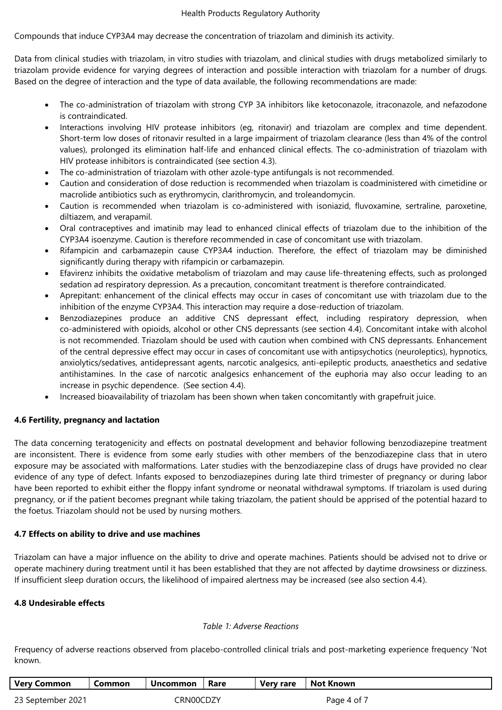Compounds that induce CYP3A4 may decrease the concentration of triazolam and diminish its activity.

Data from clinical studies with triazolam, in vitro studies with triazolam, and clinical studies with drugs metabolized similarly to triazolam provide evidence for varying degrees of interaction and possible interaction with triazolam for a number of drugs. Based on the degree of interaction and the type of data available, the following recommendations are made:

- The co-administration of triazolam with strong CYP 3A inhibitors like ketoconazole, itraconazole, and nefazodone is contraindicated.
- Interactions involving HIV protease inhibitors (eg, ritonavir) and triazolam are complex and time dependent. Short-term low doses of ritonavir resulted in a large impairment of triazolam clearance (less than 4% of the control values), prolonged its elimination half-life and enhanced clinical effects. The co-administration of triazolam with HIV protease inhibitors is contraindicated (see section 4.3).
- The co-administration of triazolam with other azole-type antifungals is not recommended.
- Caution and consideration of dose reduction is recommended when triazolam is coadministered with cimetidine or macrolide antibiotics such as erythromycin, clarithromycin, and troleandomycin.
- Caution is recommended when triazolam is co-administered with isoniazid, fluvoxamine, sertraline, paroxetine, diltiazem, and verapamil.
- Oral contraceptives and imatinib may lead to enhanced clinical effects of triazolam due to the inhibition of the CYP3A4 isoenzyme. Caution is therefore recommended in case of concomitant use with triazolam.
- Rifampicin and carbamazepin cause CYP3A4 induction. Therefore, the effect of triazolam may be diminished significantly during therapy with rifampicin or carbamazepin.
- Efavirenz inhibits the oxidative metabolism of triazolam and may cause life-threatening effects, such as prolonged sedation ad respiratory depression. As a precaution, concomitant treatment is therefore contraindicated.
- Aprepitant: enhancement of the clinical effects may occur in cases of concomitant use with triazolam due to the inhibition of the enzyme CYP3A4. This interaction may require a dose-reduction of triazolam.
- Benzodiazepines produce an additive CNS depressant effect, including respiratory depression, when co-administered with opioids, alcohol or other CNS depressants (see section 4.4). Concomitant intake with alcohol is not recommended. Triazolam should be used with caution when combined with CNS depressants. Enhancement of the central depressive effect may occur in cases of concomitant use with antipsychotics (neuroleptics), hypnotics, anxiolytics/sedatives, antidepressant agents, narcotic analgesics, anti-epileptic products, anaesthetics and sedative antihistamines. In the case of narcotic analgesics enhancement of the euphoria may also occur leading to an increase in psychic dependence. (See section 4.4).
- Increased bioavailability of triazolam has been shown when taken concomitantly with grapefruit juice*.*

# **4.6 Fertility, pregnancy and lactation**

The data concerning teratogenicity and effects on postnatal development and behavior following benzodiazepine treatment are inconsistent. There is evidence from some early studies with other members of the benzodiazepine class that in utero exposure may be associated with malformations. Later studies with the benzodiazepine class of drugs have provided no clear evidence of any type of defect. Infants exposed to benzodiazepines during late third trimester of pregnancy or during labor have been reported to exhibit either the floppy infant syndrome or neonatal withdrawal symptoms. If triazolam is used during pregnancy, or if the patient becomes pregnant while taking triazolam, the patient should be apprised of the potential hazard to the foetus. Triazolam should not be used by nursing mothers.

### **4.7 Effects on ability to drive and use machines**

Triazolam can have a major influence on the ability to drive and operate machines. Patients should be advised not to drive or operate machinery during treatment until it has been established that they are not affected by daytime drowsiness or dizziness. If insufficient sleep duration occurs, the likelihood of impaired alertness may be increased (see also section 4.4).

### **4.8 Undesirable effects**

### *Table 1: Adverse Reactions*

Frequency of adverse reactions observed from placebo-controlled clinical trials and post-marketing experience frequency 'Not known.

| <b>Very Common</b> | Common | Uncommon  | Rare | Very rare | <b>Not Known</b> |
|--------------------|--------|-----------|------|-----------|------------------|
| 23 September 2021  |        | CRN00CDZY |      |           | Page 4 of 7      |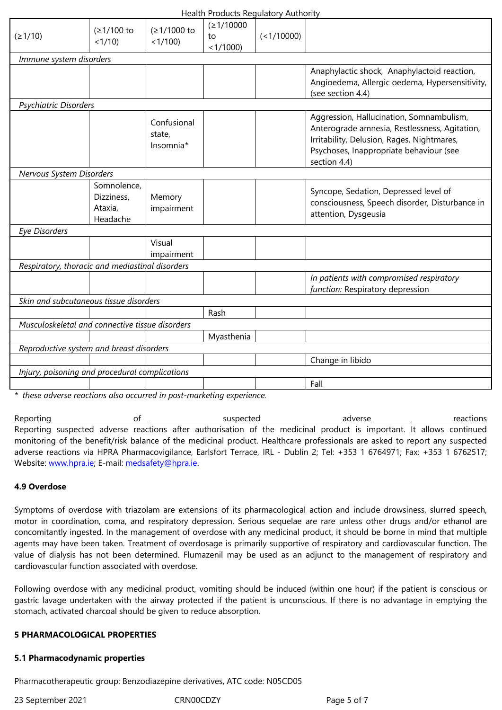|                                                 | <del>טו <i>ן</i>ו &gt;</del>                     | וטטו <i>ו</i> ו                    | < 1/1000   |                                                                                                                                                                                                    |  |  |  |
|-------------------------------------------------|--------------------------------------------------|------------------------------------|------------|----------------------------------------------------------------------------------------------------------------------------------------------------------------------------------------------------|--|--|--|
| Immune system disorders                         |                                                  |                                    |            |                                                                                                                                                                                                    |  |  |  |
|                                                 |                                                  |                                    |            | Anaphylactic shock, Anaphylactoid reaction,<br>Angioedema, Allergic oedema, Hypersensitivity,<br>(see section 4.4)                                                                                 |  |  |  |
| Psychiatric Disorders                           |                                                  |                                    |            |                                                                                                                                                                                                    |  |  |  |
|                                                 |                                                  | Confusional<br>state,<br>Insomnia* |            | Aggression, Hallucination, Somnambulism,<br>Anterograde amnesia, Restlessness, Agitation,<br>Irritability, Delusion, Rages, Nightmares,<br>Psychoses, Inappropriate behaviour (see<br>section 4.4) |  |  |  |
| Nervous System Disorders                        |                                                  |                                    |            |                                                                                                                                                                                                    |  |  |  |
|                                                 | Somnolence,<br>Dizziness,<br>Ataxia,<br>Headache | Memory<br>impairment               |            | Syncope, Sedation, Depressed level of<br>consciousness, Speech disorder, Disturbance in<br>attention, Dysgeusia                                                                                    |  |  |  |
| <b>Eye Disorders</b>                            |                                                  |                                    |            |                                                                                                                                                                                                    |  |  |  |
|                                                 |                                                  | Visual<br>impairment               |            |                                                                                                                                                                                                    |  |  |  |
| Respiratory, thoracic and mediastinal disorders |                                                  |                                    |            |                                                                                                                                                                                                    |  |  |  |
|                                                 |                                                  |                                    |            | In patients with compromised respiratory<br>function: Respiratory depression                                                                                                                       |  |  |  |
| Skin and subcutaneous tissue disorders          |                                                  |                                    |            |                                                                                                                                                                                                    |  |  |  |
|                                                 |                                                  |                                    | Rash       |                                                                                                                                                                                                    |  |  |  |
| Musculoskeletal and connective tissue disorders |                                                  |                                    |            |                                                                                                                                                                                                    |  |  |  |
|                                                 |                                                  |                                    | Myasthenia |                                                                                                                                                                                                    |  |  |  |
| Reproductive system and breast disorders        |                                                  |                                    |            |                                                                                                                                                                                                    |  |  |  |
|                                                 |                                                  |                                    |            | Change in libido                                                                                                                                                                                   |  |  |  |
| Injury, poisoning and procedural complications  |                                                  |                                    |            |                                                                                                                                                                                                    |  |  |  |
|                                                 |                                                  |                                    |            | Fall                                                                                                                                                                                               |  |  |  |

*\* these adverse reactions also occurred in post-marketing experience.*

Reporting reactions of suspected adverse reactions reactions Reporting suspected adverse reactions after authorisation of the medicinal product is important. It allows continued monitoring of the benefit/risk balance of the medicinal product. Healthcare professionals are asked to report any suspected adverse reactions via HPRA Pharmacovigilance, Earlsfort Terrace, IRL - Dublin 2; Tel: +353 1 6764971; Fax: +353 1 6762517; Website: www.hpra.ie; E-mail: medsafety@hpra.ie.

### **4.9 Overdose**

Symptoms of [overdo](http://www.hpra.ie/)se with [triazolam](mailto:medsafety@hpra.ie) are extensions of its pharmacological action and include drowsiness, slurred speech, motor in coordination, coma, and respiratory depression. Serious sequelae are rare unless other drugs and/or ethanol are concomitantly ingested. In the management of overdose with any medicinal product, it should be borne in mind that multiple agents may have been taken. Treatment of overdosage is primarily supportive of respiratory and cardiovascular function. The value of dialysis has not been determined. Flumazenil may be used as an adjunct to the management of respiratory and cardiovascular function associated with overdose.

Following overdose with any medicinal product, vomiting should be induced (within one hour) if the patient is conscious or gastric lavage undertaken with the airway protected if the patient is unconscious. If there is no advantage in emptying the stomach, activated charcoal should be given to reduce absorption.

### **5 PHARMACOLOGICAL PROPERTIES**

### **5.1 Pharmacodynamic properties**

Pharmacotherapeutic group: Benzodiazepine derivatives, ATC code: N05CD05

23 September 2021 CRN00CDZY Page 5 of 7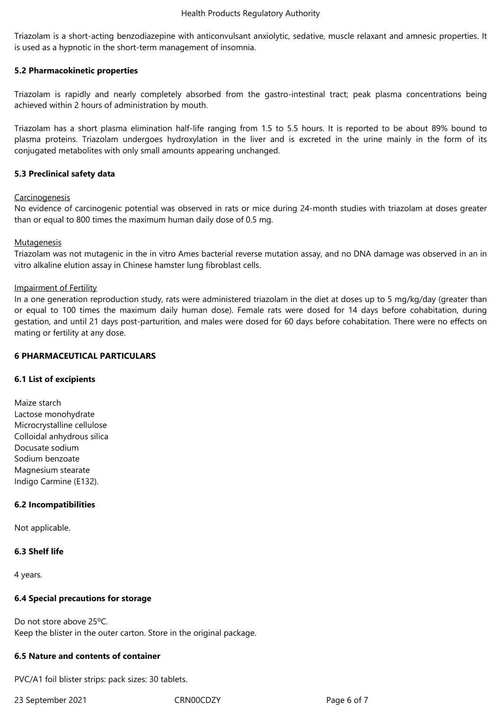Triazolam is a short-acting benzodiazepine with anticonvulsant anxiolytic, sedative, muscle relaxant and amnesic properties. It is used as a hypnotic in the short-term management of insomnia.

## **5.2 Pharmacokinetic properties**

Triazolam is rapidly and nearly completely absorbed from the gastro-intestinal tract; peak plasma concentrations being achieved within 2 hours of administration by mouth.

Triazolam has a short plasma elimination half-life ranging from 1.5 to 5.5 hours. It is reported to be about 89% bound to plasma proteins. Triazolam undergoes hydroxylation in the liver and is excreted in the urine mainly in the form of its conjugated metabolites with only small amounts appearing unchanged.

## **5.3 Preclinical safety data**

## **Carcinogenesis**

No evidence of carcinogenic potential was observed in rats or mice during 24-month studies with triazolam at doses greater than or equal to 800 times the maximum human daily dose of 0.5 mg.

### **Mutagenesis**

Triazolam was not mutagenic in the in vitro Ames bacterial reverse mutation assay, and no DNA damage was observed in an in vitro alkaline elution assay in Chinese hamster lung fibroblast cells.

#### Impairment of Fertility

In a one generation reproduction study, rats were administered triazolam in the diet at doses up to 5 mg/kg/day (greater than or equal to 100 times the maximum daily human dose). Female rats were dosed for 14 days before cohabitation, during gestation, and until 21 days post-parturition, and males were dosed for 60 days before cohabitation. There were no effects on mating or fertility at any dose.

### **6 PHARMACEUTICAL PARTICULARS**

### **6.1 List of excipients**

Maize starch Lactose monohydrate Microcrystalline cellulose Colloidal anhydrous silica Docusate sodium Sodium benzoate Magnesium stearate Indigo Carmine (E132).

### **6.2 Incompatibilities**

Not applicable.

### **6.3 Shelf life**

4 years.

### **6.4 Special precautions for storage**

Do not store above 25ºC. Keep the blister in the outer carton. Store in the original package.

### **6.5 Nature and contents of container**

PVC/A1 foil blister strips: pack sizes: 30 tablets.

23 September 2021 CRN00CDZY Page 6 of 7